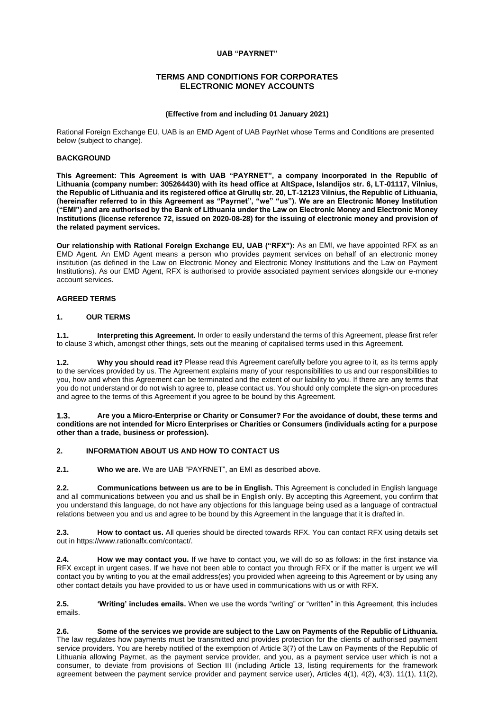# **UAB "PAYRNET"**

# **TERMS AND CONDITIONS FOR CORPORATES ELECTRONIC MONEY ACCOUNTS**

# **(Effective from and including 01 January 2021)**

Rational Foreign Exchange EU, UAB is an EMD Agent of UAB PayrNet whose Terms and Conditions are presented below (subject to change).

#### **BACKGROUND**

**This Agreement: This Agreement is with UAB "PAYRNET", a company incorporated in the Republic of Lithuania (company number: 305264430) with its head office at AltSpace, Islandijos str. 6, LT-01117, Vilnius, the Republic of Lithuania and its registered office at Girulių str. 20, LT-12123 Vilnius, the Republic of Lithuania, (hereinafter referred to in this Agreement as "Payrnet", "we" "us"). We are an Electronic Money Institution ("EMI") and are authorised by the Bank of Lithuania under the Law on Electronic Money and Electronic Money Institutions (license reference 72, issued on 2020-08-28) for the issuing of electronic money and provision of the related payment services.**

**Our relationship with Rational Foreign Exchange EU, UAB ("RFX"):** As an EMI, we have appointed RFX as an EMD Agent. An EMD Agent means a person who provides payment services on behalf of an electronic money institution (as defined in the Law on Electronic Money and Electronic Money Institutions and the Law on Payment Institutions). As our EMD Agent, RFX is authorised to provide associated payment services alongside our e-money account services.

# **AGREED TERMS**

# **1. OUR TERMS**

**1.1. Interpreting this Agreement.** In order to easily understand the terms of this Agreement, please first refer to clause 3 which, amongst other things, sets out the meaning of capitalised terms used in this Agreement.

**1.2. Why you should read it?** Please read this Agreement carefully before you agree to it, as its terms apply to the services provided by us. The Agreement explains many of your responsibilities to us and our responsibilities to you, how and when this Agreement can be terminated and the extent of our liability to you. If there are any terms that you do not understand or do not wish to agree to, please contact us. You should only complete the sign-on procedures and agree to the terms of this Agreement if you agree to be bound by this Agreement.

#### **1.3. Are you a Micro-Enterprise or Charity or Consumer? For the avoidance of doubt, these terms and conditions are not intended for Micro Enterprises or Charities or Consumers (individuals acting for a purpose other than a trade, business or profession).**

# **2. INFORMATION ABOUT US AND HOW TO CONTACT US**

**2.1. Who we are.** We are UAB "PAYRNET", an EMI as described above.

**2.2. Communications between us are to be in English.** This Agreement is concluded in English language and all communications between you and us shall be in English only. By accepting this Agreement, you confirm that you understand this language, do not have any objections for this language being used as a language of contractual relations between you and us and agree to be bound by this Agreement in the language that it is drafted in.

**2.3. How to contact us.** All queries should be directed towards RFX. You can contact RFX using details set out in https://www.rationalfx.com/contact/.

**2.4. How we may contact you.** If we have to contact you, we will do so as follows: in the first instance via RFX except in urgent cases. If we have not been able to contact you through RFX or if the matter is urgent we will contact you by writing to you at the email address(es) you provided when agreeing to this Agreement or by using any other contact details you have provided to us or have used in communications with us or with RFX.

**2.5. 'Writing' includes emails.** When we use the words "writing" or "written" in this Agreement, this includes emails.

**2.6. Some of the services we provide are subject to the Law on Payments of the Republic of Lithuania.**  The law regulates how payments must be transmitted and provides protection for the clients of authorised payment service providers. You are hereby notified of the exemption of Article 3(7) of the Law on Payments of the Republic of Lithuania allowing Payrnet, as the payment service provider, and you, as a payment service user which is not a consumer, to deviate from provisions of Section III (including Article 13, listing requirements for the framework agreement between the payment service provider and payment service user), Articles 4(1), 4(2), 4(3), 11(1), 11(2),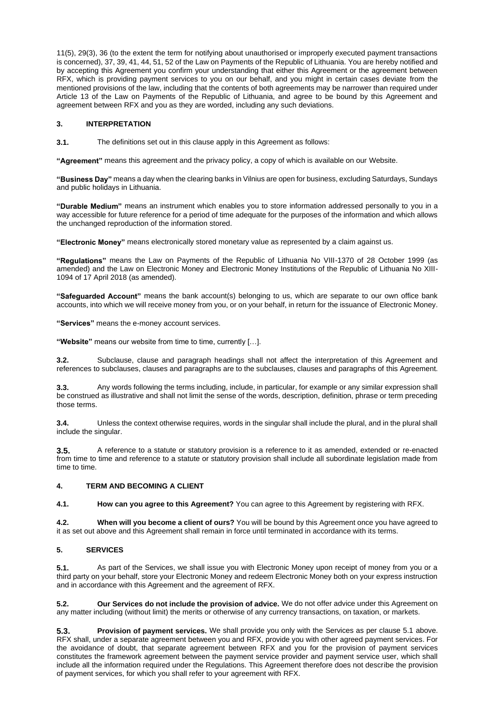11(5), 29(3), 36 (to the extent the term for notifying about unauthorised or improperly executed payment transactions is concerned), 37, 39, 41, 44, 51, 52 of the Law on Payments of the Republic of Lithuania. You are hereby notified and by accepting this Agreement you confirm your understanding that either this Agreement or the agreement between RFX, which is providing payment services to you on our behalf, and you might in certain cases deviate from the mentioned provisions of the law, including that the contents of both agreements may be narrower than required under Article 13 of the Law on Payments of the Republic of Lithuania, and agree to be bound by this Agreement and agreement between RFX and you as they are worded, including any such deviations.

#### **3. INTERPRETATION**

**3.1.** The definitions set out in this clause apply in this Agreement as follows:

**"Agreement"** means this agreement and the privacy policy, a copy of which is available on our Website.

**"Business Day"** means a day when the clearing banks in Vilnius are open for business, excluding Saturdays, Sundays and public holidays in Lithuania.

**"Durable Medium"** means an instrument which enables you to store information addressed personally to you in a way accessible for future reference for a period of time adequate for the purposes of the information and which allows the unchanged reproduction of the information stored.

**"Electronic Money"** means electronically stored monetary value as represented by a claim against us.

**"Regulations"** means the Law on Payments of the Republic of Lithuania No VIII-1370 of 28 October 1999 (as amended) and the Law on Electronic Money and Electronic Money Institutions of the Republic of Lithuania No XIII-1094 of 17 April 2018 (as amended).

**"Safeguarded Account"** means the bank account(s) belonging to us, which are separate to our own office bank accounts, into which we will receive money from you, or on your behalf, in return for the issuance of Electronic Money.

**"Services"** means the e-money account services.

**"Website"** means our website from time to time, currently […].

**3.2.** Subclause, clause and paragraph headings shall not affect the interpretation of this Agreement and references to subclauses, clauses and paragraphs are to the subclauses, clauses and paragraphs of this Agreement.

**3.3.** Any words following the terms including, include, in particular, for example or any similar expression shall be construed as illustrative and shall not limit the sense of the words, description, definition, phrase or term preceding those terms.

**3.4.** Unless the context otherwise requires, words in the singular shall include the plural, and in the plural shall include the singular.

**3.5.** A reference to a statute or statutory provision is a reference to it as amended, extended or re-enacted from time to time and reference to a statute or statutory provision shall include all subordinate legislation made from time to time.

# **4. TERM AND BECOMING A CLIENT**

**4.1. How can you agree to this Agreement?** You can agree to this Agreement by registering with RFX.

**4.2. When will you become a client of ours?** You will be bound by this Agreement once you have agreed to it as set out above and this Agreement shall remain in force until terminated in accordance with its terms.

# **5. SERVICES**

**5.1.** As part of the Services, we shall issue you with Electronic Money upon receipt of money from you or a third party on your behalf, store your Electronic Money and redeem Electronic Money both on your express instruction and in accordance with this Agreement and the agreement of RFX.

**5.2. Our Services do not include the provision of advice.** We do not offer advice under this Agreement on any matter including (without limit) the merits or otherwise of any currency transactions, on taxation, or markets.

**5.3. Provision of payment services.** We shall provide you only with the Services as per clause 5.1 above. RFX shall, under a separate agreement between you and RFX, provide you with other agreed payment services. For the avoidance of doubt, that separate agreement between RFX and you for the provision of payment services constitutes the framework agreement between the payment service provider and payment service user, which shall include all the information required under the Regulations. This Agreement therefore does not describe the provision of payment services, for which you shall refer to your agreement with RFX.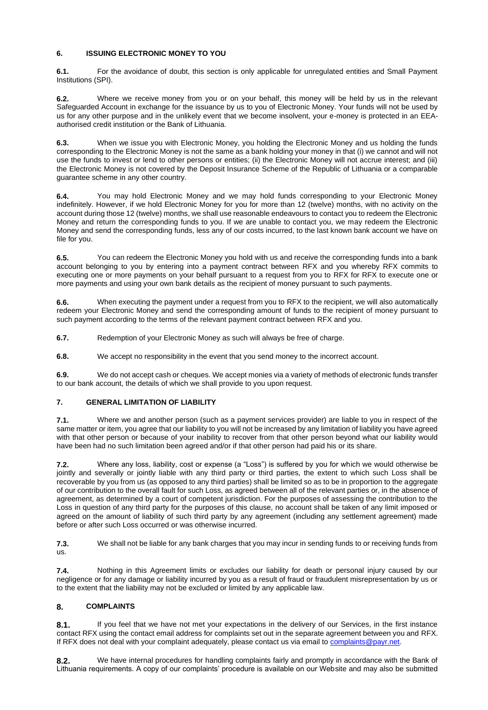# **6. ISSUING ELECTRONIC MONEY TO YOU**

**6.1.** For the avoidance of doubt, this section is only applicable for unregulated entities and Small Payment Institutions (SPI).

**6.2.** Where we receive money from you or on your behalf, this money will be held by us in the relevant Safeguarded Account in exchange for the issuance by us to you of Electronic Money. Your funds will not be used by us for any other purpose and in the unlikely event that we become insolvent, your e-money is protected in an EEAauthorised credit institution or the Bank of Lithuania.

**6.3.** When we issue you with Electronic Money, you holding the Electronic Money and us holding the funds corresponding to the Electronic Money is not the same as a bank holding your money in that (i) we cannot and will not use the funds to invest or lend to other persons or entities; (ii) the Electronic Money will not accrue interest; and (iii) the Electronic Money is not covered by the Deposit Insurance Scheme of the Republic of Lithuania or a comparable guarantee scheme in any other country.

**6.4.** You may hold Electronic Money and we may hold funds corresponding to your Electronic Money indefinitely. However, if we hold Electronic Money for you for more than 12 (twelve) months, with no activity on the account during those 12 (twelve) months, we shall use reasonable endeavours to contact you to redeem the Electronic Money and return the corresponding funds to you. If we are unable to contact you, we may redeem the Electronic Money and send the corresponding funds, less any of our costs incurred, to the last known bank account we have on file for you.

**6.5.** You can redeem the Electronic Money you hold with us and receive the corresponding funds into a bank account belonging to you by entering into a payment contract between RFX and you whereby RFX commits to executing one or more payments on your behalf pursuant to a request from you to RFX for RFX to execute one or more payments and using your own bank details as the recipient of money pursuant to such payments.

**6.6.** When executing the payment under a request from you to RFX to the recipient, we will also automatically redeem your Electronic Money and send the corresponding amount of funds to the recipient of money pursuant to such payment according to the terms of the relevant payment contract between RFX and you.

**6.7.** Redemption of your Electronic Money as such will always be free of charge.

**6.8.** We accept no responsibility in the event that you send money to the incorrect account.

**6.9.** We do not accept cash or cheques. We accept monies via a variety of methods of electronic funds transfer to our bank account, the details of which we shall provide to you upon request.

# **7. GENERAL LIMITATION OF LIABILITY**

**7.1.** Where we and another person (such as a payment services provider) are liable to you in respect of the same matter or item, you agree that our liability to you will not be increased by any limitation of liability you have agreed with that other person or because of your inability to recover from that other person beyond what our liability would have been had no such limitation been agreed and/or if that other person had paid his or its share.

**7.2.** Where any loss, liability, cost or expense (a "Loss") is suffered by you for which we would otherwise be jointly and severally or jointly liable with any third party or third parties, the extent to which such Loss shall be recoverable by you from us (as opposed to any third parties) shall be limited so as to be in proportion to the aggregate of our contribution to the overall fault for such Loss, as agreed between all of the relevant parties or, in the absence of agreement, as determined by a court of competent jurisdiction. For the purposes of assessing the contribution to the Loss in question of any third party for the purposes of this clause, no account shall be taken of any limit imposed or agreed on the amount of liability of such third party by any agreement (including any settlement agreement) made before or after such Loss occurred or was otherwise incurred.

**7.3.** We shall not be liable for any bank charges that you may incur in sending funds to or receiving funds from us.

**7.4.** Nothing in this Agreement limits or excludes our liability for death or personal injury caused by our negligence or for any damage or liability incurred by you as a result of fraud or fraudulent misrepresentation by us or to the extent that the liability may not be excluded or limited by any applicable law.

# **8. COMPLAINTS**

8.1. If you feel that we have not met your expectations in the delivery of our Services, in the first instance contact RFX using the contact email address for complaints set out in the separate agreement between you and RFX. If RFX does not deal with your complaint adequately, please contact us via email to complaints@payr.net.

**8.2.** We have internal procedures for handling complaints fairly and promptly in accordance with the Bank of Lithuania requirements. A copy of our complaints' procedure is available on our Website and may also be submitted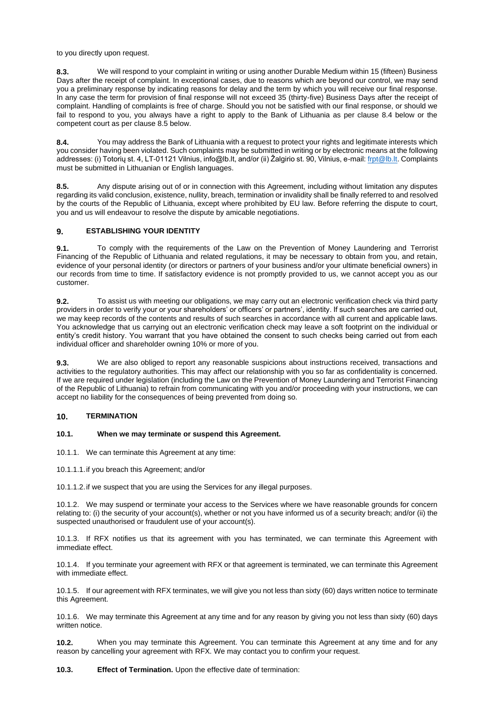to you directly upon request.

**8.3.** We will respond to your complaint in writing or using another Durable Medium within 15 (fifteen) Business Days after the receipt of complaint. In exceptional cases, due to reasons which are beyond our control, we may send you a preliminary response by indicating reasons for delay and the term by which you will receive our final response. In any case the term for provision of final response will not exceed 35 (thirty-five) Business Days after the receipt of complaint. Handling of complaints is free of charge. Should you not be satisfied with our final response, or should we fail to respond to you, you always have a right to apply to the Bank of Lithuania as per clause 8.4 below or the competent court as per clause 8.5 below.

**8.4.** You may address the Bank of Lithuania with a request to protect your rights and legitimate interests which you consider having been violated. Such complaints may be submitted in writing or by electronic means at the following addresses: (i) Totorių st. 4, LT-01121 Vilnius, info@lb.lt, and/or (ii) Žalgirio st. 90, Vilnius, e-mail[: frpt@lb.lt.](mailto:frpt@lb.lt) Complaints must be submitted in Lithuanian or English languages.

**8.5.** Any dispute arising out of or in connection with this Agreement, including without limitation any disputes regarding its valid conclusion, existence, nullity, breach, termination or invalidity shall be finally referred to and resolved by the courts of the Republic of Lithuania, except where prohibited by EU law. Before referring the dispute to court, you and us will endeavour to resolve the dispute by amicable negotiations.

# **9. ESTABLISHING YOUR IDENTITY**

**9.1.** To comply with the requirements of the Law on the Prevention of Money Laundering and Terrorist Financing of the Republic of Lithuania and related regulations, it may be necessary to obtain from you, and retain, evidence of your personal identity (or directors or partners of your business and/or your ultimate beneficial owners) in our records from time to time. If satisfactory evidence is not promptly provided to us, we cannot accept you as our customer.

**9.2.** To assist us with meeting our obligations, we may carry out an electronic verification check via third party providers in order to verify your or your shareholders' or officers' or partners', identity. If such searches are carried out, we may keep records of the contents and results of such searches in accordance with all current and applicable laws. You acknowledge that us carrying out an electronic verification check may leave a soft footprint on the individual or entity's credit history. You warrant that you have obtained the consent to such checks being carried out from each individual officer and shareholder owning 10% or more of you.

**9.3.** We are also obliged to report any reasonable suspicions about instructions received, transactions and activities to the regulatory authorities. This may affect our relationship with you so far as confidentiality is concerned. If we are required under legislation (including the Law on the Prevention of Money Laundering and Terrorist Financing of the Republic of Lithuania) to refrain from communicating with you and/or proceeding with your instructions, we can accept no liability for the consequences of being prevented from doing so.

#### **10. TERMINATION**

#### **10.1. When we may terminate or suspend this Agreement.**

10.1.1. We can terminate this Agreement at any time:

10.1.1.1.if you breach this Agreement; and/or

10.1.1.2.if we suspect that you are using the Services for any illegal purposes.

10.1.2. We may suspend or terminate your access to the Services where we have reasonable grounds for concern relating to: (i) the security of your account(s), whether or not you have informed us of a security breach; and/or (ii) the suspected unauthorised or fraudulent use of your account(s).

10.1.3. If RFX notifies us that its agreement with you has terminated, we can terminate this Agreement with immediate effect.

10.1.4. If you terminate your agreement with RFX or that agreement is terminated, we can terminate this Agreement with immediate effect.

10.1.5. If our agreement with RFX terminates, we will give you not less than sixty (60) days written notice to terminate this Agreement.

10.1.6. We may terminate this Agreement at any time and for any reason by giving you not less than sixty (60) days written notice.

**10.2.** When you may terminate this Agreement. You can terminate this Agreement at any time and for any reason by cancelling your agreement with RFX. We may contact you to confirm your request.

**10.3. Effect of Termination.** Upon the effective date of termination: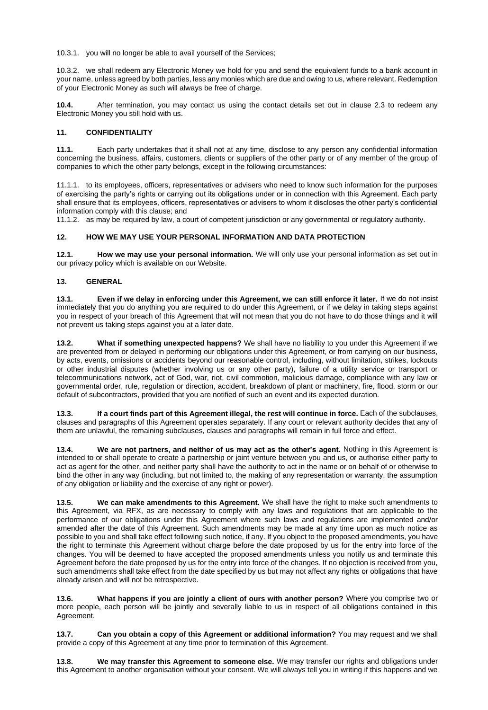10.3.1. you will no longer be able to avail yourself of the Services;

10.3.2. we shall redeem any Electronic Money we hold for you and send the equivalent funds to a bank account in your name, unless agreed by both parties, less any monies which are due and owing to us, where relevant. Redemption of your Electronic Money as such will always be free of charge.

**10.4.** After termination, you may contact us using the contact details set out in clause 2.3 to redeem any Electronic Money you still hold with us.

# **11. CONFIDENTIALITY**

**11.1.** Each party undertakes that it shall not at any time, disclose to any person any confidential information concerning the business, affairs, customers, clients or suppliers of the other party or of any member of the group of companies to which the other party belongs, except in the following circumstances:

11.1.1. to its employees, officers, representatives or advisers who need to know such information for the purposes of exercising the party's rights or carrying out its obligations under or in connection with this Agreement. Each party shall ensure that its employees, officers, representatives or advisers to whom it discloses the other party's confidential information comply with this clause; and

11.1.2. as may be required by law, a court of competent jurisdiction or any governmental or regulatory authority.

# **12. HOW WE MAY USE YOUR PERSONAL INFORMATION AND DATA PROTECTION**

**12.1. How we may use your personal information.** We will only use your personal information as set out in our privacy policy which is available on our Website.

# **13. GENERAL**

**13.1. Even if we delay in enforcing under this Agreement, we can still enforce it later.** If we do not insist immediately that you do anything you are required to do under this Agreement, or if we delay in taking steps against you in respect of your breach of this Agreement that will not mean that you do not have to do those things and it will not prevent us taking steps against you at a later date.

**13.2. What if something unexpected happens?** We shall have no liability to you under this Agreement if we are prevented from or delayed in performing our obligations under this Agreement, or from carrying on our business, by acts, events, omissions or accidents beyond our reasonable control, including, without limitation, strikes, lockouts or other industrial disputes (whether involving us or any other party), failure of a utility service or transport or telecommunications network, act of God, war, riot, civil commotion, malicious damage, compliance with any law or governmental order, rule, regulation or direction, accident, breakdown of plant or machinery, fire, flood, storm or our default of subcontractors, provided that you are notified of such an event and its expected duration.

**13.3. If a court finds part of this Agreement illegal, the rest will continue in force.** Each of the subclauses, clauses and paragraphs of this Agreement operates separately. If any court or relevant authority decides that any of them are unlawful, the remaining subclauses, clauses and paragraphs will remain in full force and effect.

**13.4. We are not partners, and neither of us may act as the other's agent.** Nothing in this Agreement is intended to or shall operate to create a partnership or joint venture between you and us, or authorise either party to act as agent for the other, and neither party shall have the authority to act in the name or on behalf of or otherwise to bind the other in any way (including, but not limited to, the making of any representation or warranty, the assumption of any obligation or liability and the exercise of any right or power).

**13.5. We can make amendments to this Agreement.** We shall have the right to make such amendments to this Agreement, via RFX, as are necessary to comply with any laws and regulations that are applicable to the performance of our obligations under this Agreement where such laws and regulations are implemented and/or amended after the date of this Agreement. Such amendments may be made at any time upon as much notice as possible to you and shall take effect following such notice, if any. If you object to the proposed amendments, you have the right to terminate this Agreement without charge before the date proposed by us for the entry into force of the changes. You will be deemed to have accepted the proposed amendments unless you notify us and terminate this Agreement before the date proposed by us for the entry into force of the changes. If no objection is received from you, such amendments shall take effect from the date specified by us but may not affect any rights or obligations that have already arisen and will not be retrospective.

**13.6. What happens if you are jointly a client of ours with another person?** Where you comprise two or more people, each person will be jointly and severally liable to us in respect of all obligations contained in this Agreement.

**13.7. Can you obtain a copy of this Agreement or additional information?** You may request and we shall provide a copy of this Agreement at any time prior to termination of this Agreement.

**13.8. We may transfer this Agreement to someone else.** We may transfer our rights and obligations under this Agreement to another organisation without your consent. We will always tell you in writing if this happens and we